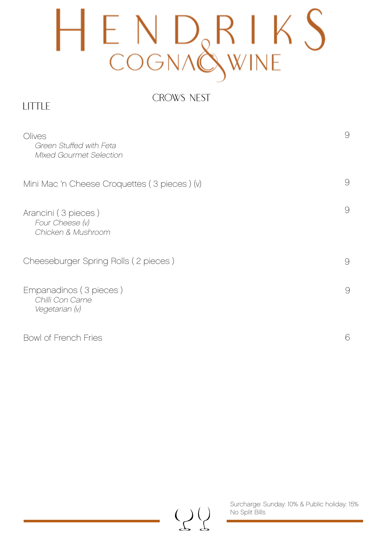## HENDRIKS<br>COGNAQWINE

#### CROWS NEST

#### LITTLE

| Olives<br>Green Stuffed with Feta<br><b>Mixed Gourmet Selection</b> | 9 |
|---------------------------------------------------------------------|---|
| Mini Mac 'n Cheese Croquettes (3 pieces) (v)                        | 9 |
| Arancini (3 pieces)<br>Four Cheese (v)<br>Chicken & Mushroom        | 9 |
| Cheeseburger Spring Rolls (2 pieces)                                | 9 |
| Empanadinos (3 pieces)<br>Chilli Con Carne<br>Vegetarian (v)        | 9 |
| Bowl of French Fries                                                | 6 |



Surcharge: Sunday: 10% & Public holiday: 15% No Split Bills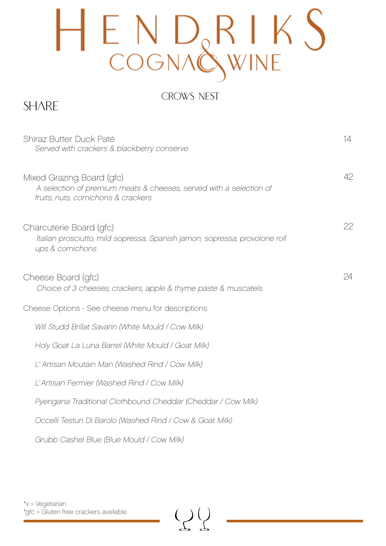# ENDRIKS<br>COGNAQWINE

### CROWS NEST

### **SHARE**

| Shiraz Butter Duck Paté<br>Served with crackers & blackberry conserve                                                                  | 14 |
|----------------------------------------------------------------------------------------------------------------------------------------|----|
| Mixed Grazing Board (gfc)<br>A selection of premium meats & cheeses, served with a selection of<br>fruits, nuts, cornichons & crackers | 42 |
| Charcuterie Board (gfc)<br>Italian prosciutto, mild sopressa, Spanish jamon, sopressa, provolone roll<br>ups & cornichons              | 22 |
| Cheese Board (gfc)<br>Choice of 3 cheeses, crackers, apple & thyme paste & muscatels                                                   | 24 |
| Cheese Options - See cheese menu for descriptions                                                                                      |    |
| Will Studd Brillat Savarin (White Mould / Cow Milk)                                                                                    |    |
| Holy Goat La Luna Barrel (White Mould / Goat Milk)                                                                                     |    |
| L' Artisan Moutain Man (Washed Rind / Cow Milk)                                                                                        |    |
| L'Artisan Fermier (Washed Rind / Cow Milk)                                                                                             |    |
| Pyengana Traditional Clothbound Cheddar (Cheddar / Cow Milk)                                                                           |    |
| Occelli Testun Di Barolo (Washed Rind / Cow & Goat Milk)                                                                               |    |
| Grubb Cashel Blue (Blue Mould / Cow Milk)                                                                                              |    |

 $\left(\begin{smallmatrix} 1 \\ 2 \end{smallmatrix}\right)$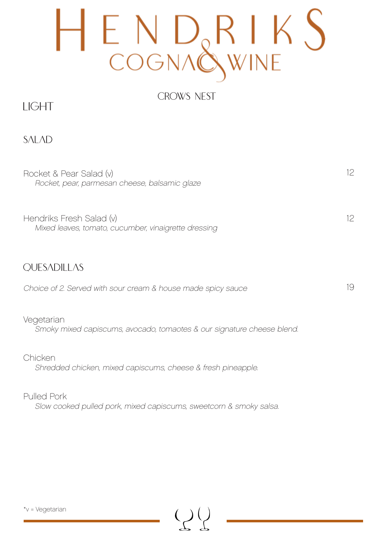## ENDRIK

#### CROWS NEST

### LIGHT

SALAD

Rocket & Pear Salad (v) Rocket, pear, parmesan cheese, balsamic glaze

Hendriks Fresh Salad (v) Mixed leaves, tomato, cucumber, vinaigrette dressing

#### **OUESADILLAS**

Choice of 2. Served with sour cream & house made spicy sauce

#### Vegetarian

Smoky mixed capiscums, avocado, tomaotes & our signature cheese blend.

19

12

12

Chicken Shredded chicken, mixed capiscums, cheese & fresh pineapple.

Pulled Pork Slow cooked pulled pork, mixed capiscums, sweetcorn & smoky salsa.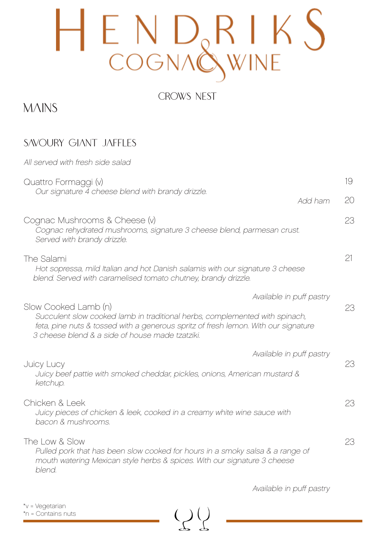## ENDRIKS<br>COGNAQWINE

#### CROWS NEST

### **MAINS**

### SAVOURY GIANT JAFFLES

| All served with fresh side salad                                                                                                                                                                                                             |               |    |  |
|----------------------------------------------------------------------------------------------------------------------------------------------------------------------------------------------------------------------------------------------|---------------|----|--|
| Quattro Formaggi (v)                                                                                                                                                                                                                         |               | 19 |  |
| Our signature 4 cheese blend with brandy drizzle.                                                                                                                                                                                            | 20<br>Add ham |    |  |
| Cognac Mushrooms & Cheese (v)<br>Cognac rehydrated mushrooms, signature 3 cheese blend, parmesan crust.<br>Served with brandy drizzle.                                                                                                       | 23            |    |  |
| The Salami<br>Hot sopressa, mild Italian and hot Danish salamis with our signature 3 cheese<br>blend. Served with caramelised tomato chutney, brandy drizzle.                                                                                | 21            |    |  |
| Available in puff pastry                                                                                                                                                                                                                     |               |    |  |
| Slow Cooked Lamb (n)<br>Succulent slow cooked lamb in traditional herbs, complemented with spinach,<br>feta, pine nuts & tossed with a generous spritz of fresh lemon. With our signature<br>3 cheese blend & a side of house made tzatziki. |               | 23 |  |
| Available in puff pastry                                                                                                                                                                                                                     |               |    |  |
| <b>Juicy Lucy</b><br>Juicy beef pattie with smoked cheddar, pickles, onions, American mustard &<br>ketchup.                                                                                                                                  | 23            |    |  |
| Chicken & Leek<br>Juicy pieces of chicken & leek, cooked in a creamy white wine sauce with<br>bacon & mushrooms.                                                                                                                             | 23            |    |  |
| The Low & Slow<br>Pulled pork that has been slow cooked for hours in a smoky salsa & a range of<br>mouth watering Mexican style herbs & spices. With our signature 3 cheese<br>blend.                                                        | 23            |    |  |

 $\bigcup$ 

Available in puff pastry

\*v = Vegetarian \*n = Contains nuts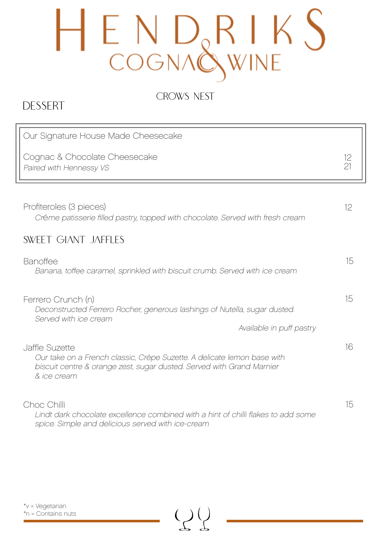# HENDRIKS<br>COGNAQWINE

CROWS NEST

### DESSERT

| Our Signature House Made Cheesecake                                                                                                                                               |          |
|-----------------------------------------------------------------------------------------------------------------------------------------------------------------------------------|----------|
| Cognac & Chocolate Cheesecake<br>Paired with Hennessy VS                                                                                                                          | 12<br>21 |
|                                                                                                                                                                                   |          |
| Profiteroles (3 pieces)<br>Créme patisserie filled pastry, topped with chocolate. Served with fresh cream                                                                         | 12       |
| <b>SWEET GIANT JAFFLES</b>                                                                                                                                                        |          |
| <b>Banoffee</b><br>Banana, toffee caramel, sprinkled with biscuit crumb. Served with ice cream                                                                                    | 15       |
| Ferrero Crunch (n)<br>Deconstructed Ferrero Rocher, generous lashings of Nutella, sugar dusted.<br>Served with ice cream                                                          | 15       |
| Available in puff pastry                                                                                                                                                          |          |
| Jaffle Suzette<br>Our take on a French classic, Crêpe Suzette. A delicate lemon base with<br>biscuit centre & orange zest, sugar dusted. Served with Grand Marnier<br>& ice cream | 16       |
| Choc Chilli<br>Lindt dark chocolate excellence combined with a hint of chilli flakes to add some<br>spice. Simple and delicious served with ice-cream                             | 15       |

 $\left(\begin{smallmatrix} 1 \\ 1 \end{smallmatrix}\right)$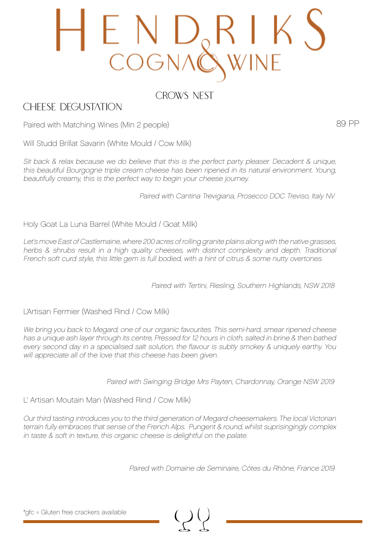### E N D<br>Cogna

CROWS NEST

#### CHEESE DEGUSTATION

89 PP

Paired with Matching Wines (Min 2 people)

Will Studd Brillat Savarin (White Mould / Cow Milk)

Sit back & relax because we do believe that this is the perfect party pleaser. Decadent & unique, this beautiful Bourgogne triple cream cheese has been ripened in its natural environment. Young, beautifully creamy, this is the perfect way to begin your cheese journey.

Paired with Cantina Trevigiana, Prosecco DOC Treviso, Italy NV

Holy Goat La Luna Barrel (White Mould / Goat Milk)

Let's move East of Castlemaine, where 200 acres of rolling granite plains along with the native grasses, herbs & shrubs result in a high quality cheeses, with distinct complexity and depth. Traditional French soft curd style, this little gem is full bodied, with a hint of citrus & some nutty overtones.

Paired with Tertini, Riesling, Southern Highlands, NSW 2018

L'Artisan Fermier (Washed Rind / Cow Milk)

We bring you back to Megard, one of our organic favourites. This semi-hard, smear ripened cheese has a unique ash layer through its centre, Pressed for 12 hours in cloth, salted in brine & then bathed every second day in a specialised salt solution, the flavour is subtly smokey & uniquely earthy. You will appreciate all of the love that this cheese has been given.

Paired with Swinging Bridge Mrs Payten, Chardonnay, Orange NSW 2019

L' Artisan Moutain Man (Washed Rind / Cow Milk)

Our third tasting introduces you to the third generation of Megard cheesemakers. The local Victorian terrain fully embraces that sense of the French Alps. Pungent & round, whilst suprisingingly complex in taste & soft in texture, this organic cheese is delightful on the palate.

Paired with Domaine de Seminaire, Côtes du Rhône, France 2019